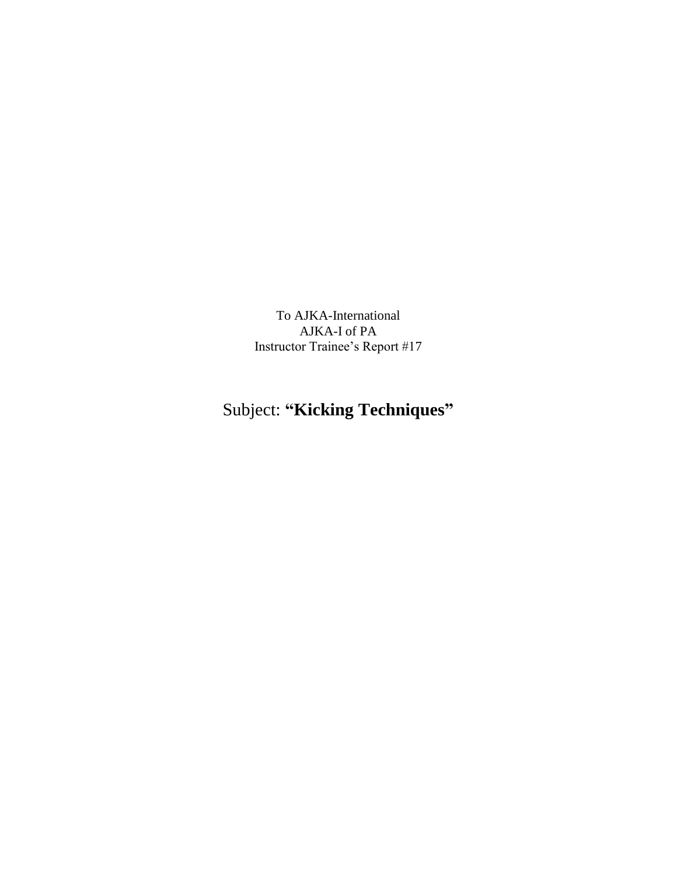To AJKA-International AJKA-I of PA Instructor Trainee's Report #17

## Subject: **"Kicking Techniques"**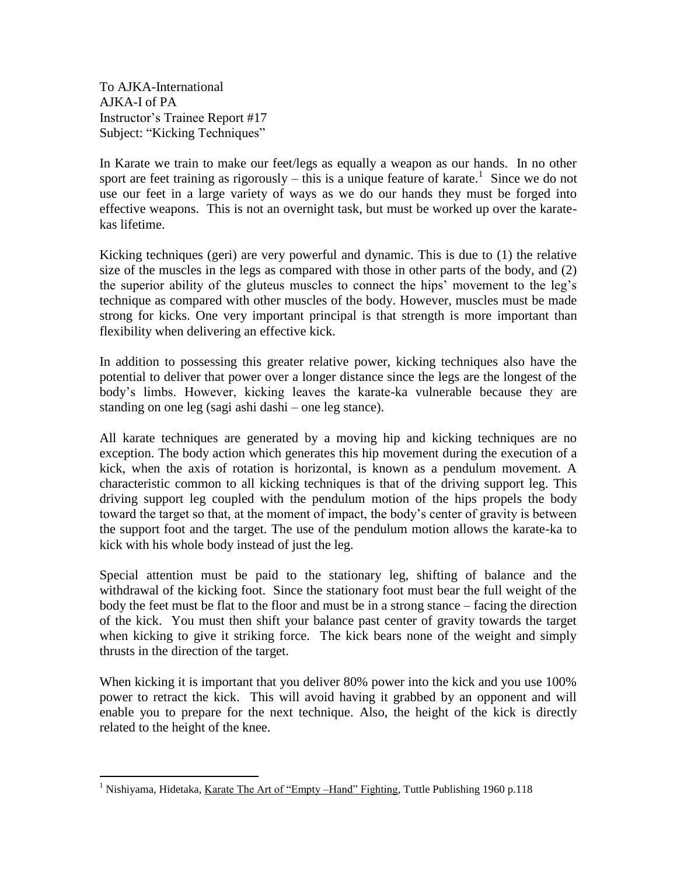To AJKA-International AJKA-I of PA Instructor's Trainee Report #17 Subject: "Kicking Techniques"

 $\overline{a}$ 

In Karate we train to make our feet/legs as equally a weapon as our hands. In no other sport are feet training as rigorously – this is a unique feature of karate.<sup>1</sup> Since we do not use our feet in a large variety of ways as we do our hands they must be forged into effective weapons. This is not an overnight task, but must be worked up over the karatekas lifetime.

Kicking techniques (geri) are very powerful and dynamic. This is due to (1) the relative size of the muscles in the legs as compared with those in other parts of the body, and (2) the superior ability of the gluteus muscles to connect the hips' movement to the leg's technique as compared with other muscles of the body. However, muscles must be made strong for kicks. One very important principal is that strength is more important than flexibility when delivering an effective kick.

In addition to possessing this greater relative power, kicking techniques also have the potential to deliver that power over a longer distance since the legs are the longest of the body's limbs. However, kicking leaves the karate-ka vulnerable because they are standing on one leg (sagi ashi dashi – one leg stance).

All karate techniques are generated by a moving hip and kicking techniques are no exception. The body action which generates this hip movement during the execution of a kick, when the axis of rotation is horizontal, is known as a pendulum movement. A characteristic common to all kicking techniques is that of the driving support leg. This driving support leg coupled with the pendulum motion of the hips propels the body toward the target so that, at the moment of impact, the body's center of gravity is between the support foot and the target. The use of the pendulum motion allows the karate-ka to kick with his whole body instead of just the leg.

Special attention must be paid to the stationary leg, shifting of balance and the withdrawal of the kicking foot. Since the stationary foot must bear the full weight of the body the feet must be flat to the floor and must be in a strong stance – facing the direction of the kick. You must then shift your balance past center of gravity towards the target when kicking to give it striking force. The kick bears none of the weight and simply thrusts in the direction of the target.

When kicking it is important that you deliver 80% power into the kick and you use 100% power to retract the kick. This will avoid having it grabbed by an opponent and will enable you to prepare for the next technique. Also, the height of the kick is directly related to the height of the knee.

<sup>&</sup>lt;sup>1</sup> Nishiyama, Hidetaka, Karate The Art of "Empty –Hand" Fighting, Tuttle Publishing 1960 p.118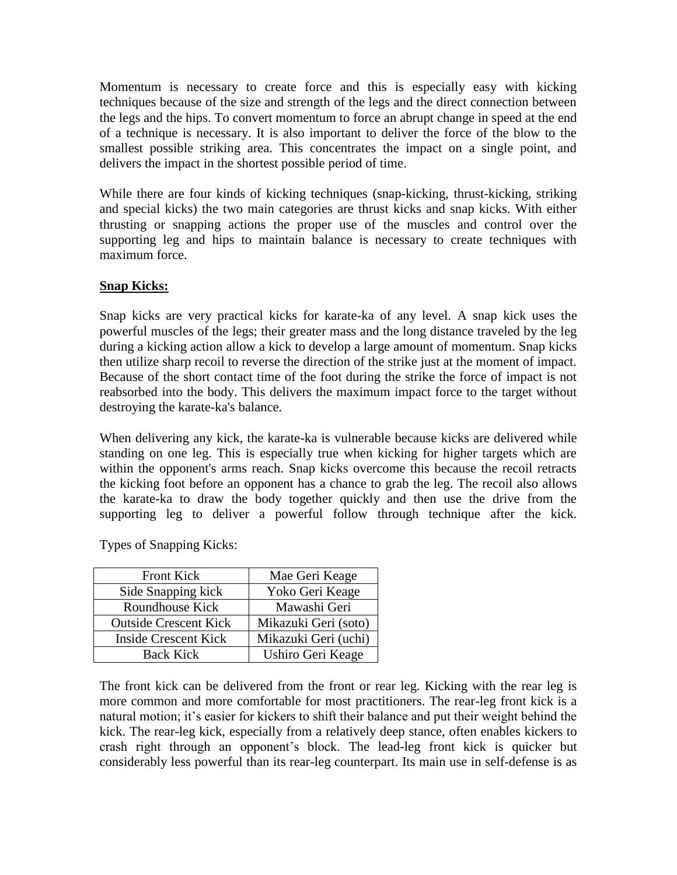Momentum is necessary to create force and this is especially easy with kicking techniques because of the size and strength of the legs and the direct connection between the legs and the hips. To convert momentum to force an abrupt change in speed at the end of a technique is necessary. It is also important to deliver the force of the blow to the smallest possible striking area. This concentrates the impact on a single point, and delivers the impact in the shortest possible period of time.

While there are four kinds of kicking techniques (snap-kicking, thrust-kicking, striking and special kicks) the two main categories are thrust kicks and snap kicks. With either thrusting or snapping actions the proper use of the muscles and control over the supporting leg and hips to maintain balance is necessary to create techniques with maximum force.

## **Snap Kicks:**

Snap kicks are very practical kicks for karate-ka of any level. A snap kick uses the powerful muscles of the legs; their greater mass and the long distance traveled by the leg during a kicking action allow a kick to develop a large amount of momentum. Snap kicks then utilize sharp recoil to reverse the direction of the strike just at the moment of impact. Because of the short contact time of the foot during the strike the force of impact is not reabsorbed into the body. This delivers the maximum impact force to the target without destroying the karate-ka's balance.

When delivering any kick, the karate-ka is vulnerable because kicks are delivered while standing on one leg. This is especially true when kicking for higher targets which are within the opponent's arms reach. Snap kicks overcome this because the recoil retracts the kicking foot before an opponent has a chance to grab the leg. The recoil also allows the karate-ka to draw the body together quickly and then use the drive from the supporting leg to deliver a powerful follow through technique after the kick.

| <b>Front Kick</b>            | Mae Geri Keage       |
|------------------------------|----------------------|
| Side Snapping kick           | Yoko Geri Keage      |
| Roundhouse Kick              | Mawashi Geri         |
| <b>Outside Crescent Kick</b> | Mikazuki Geri (soto) |
| <b>Inside Crescent Kick</b>  | Mikazuki Geri (uchi) |
| <b>Back Kick</b>             | Ushiro Geri Keage    |

Types of Snapping Kicks:

The front kick can be delivered from the front or rear leg. Kicking with the rear leg is more common and more comfortable for most practitioners. The rear-leg front kick is a natural motion; it's easier for kickers to shift their balance and put their weight behind the kick. The rear-leg kick, especially from a relatively deep stance, often enables kickers to crash right through an opponent's block. The lead-leg front kick is quicker but considerably less powerful than its rear-leg counterpart. Its main use in self-defense is as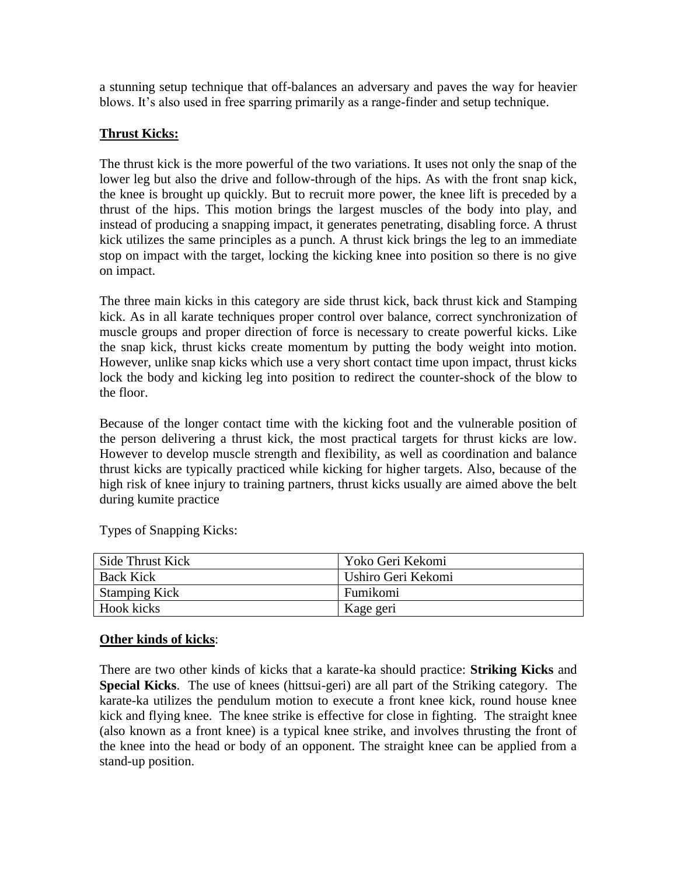a stunning setup technique that off-balances an adversary and paves the way for heavier blows. It's also used in free sparring primarily as a range-finder and setup technique.

## **Thrust Kicks:**

The thrust kick is the more powerful of the two variations. It uses not only the snap of the lower leg but also the drive and follow-through of the hips. As with the front snap kick, the knee is brought up quickly. But to recruit more power, the knee lift is preceded by a thrust of the hips. This motion brings the largest muscles of the body into play, and instead of producing a snapping impact, it generates penetrating, disabling force. A thrust kick utilizes the same principles as a punch. A thrust kick brings the leg to an immediate stop on impact with the target, locking the kicking knee into position so there is no give on impact.

The three main kicks in this category are side thrust kick, back thrust kick and Stamping kick. As in all karate techniques proper control over balance, correct synchronization of muscle groups and proper direction of force is necessary to create powerful kicks. Like the snap kick, thrust kicks create momentum by putting the body weight into motion. However, unlike snap kicks which use a very short contact time upon impact, thrust kicks lock the body and kicking leg into position to redirect the counter-shock of the blow to the floor.

Because of the longer contact time with the kicking foot and the vulnerable position of the person delivering a thrust kick, the most practical targets for thrust kicks are low. However to develop muscle strength and flexibility, as well as coordination and balance thrust kicks are typically practiced while kicking for higher targets. Also, because of the high risk of knee injury to training partners, thrust kicks usually are aimed above the belt during kumite practice

| Side Thrust Kick     | Yoko Geri Kekomi   |
|----------------------|--------------------|
| <b>Back Kick</b>     | Ushiro Geri Kekomi |
| <b>Stamping Kick</b> | Fumikomi           |
| <b>Hook kicks</b>    | Kage geri          |

Types of Snapping Kicks:

## **Other kinds of kicks**:

There are two other kinds of kicks that a karate-ka should practice: **Striking Kicks** and **Special Kicks**. The use of knees (hittsui-geri) are all part of the Striking category. The karate-ka utilizes the pendulum motion to execute a front knee kick, round house knee kick and flying knee. The knee strike is effective for close in fighting. The straight knee (also known as a front knee) is a typical knee strike, and involves thrusting the front of the knee into the head or body of an opponent. The straight knee can be applied from a stand-up position.